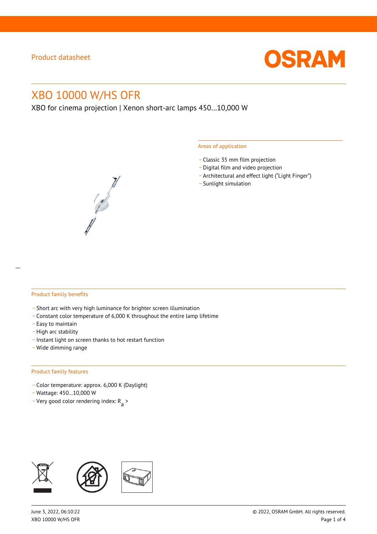

# XBO 10000 W/HS OFR

XBO for cinema projection | Xenon short-arc lamps 450…10,000 W

#### Areas of application

- \_ Classic 35 mm film projection
- \_ Digital film and video projection
- \_ Architectural and effect light ("Light Finger")
- Sunlight simulation



#### Product family benefits

- \_ Short arc with very high luminance for brighter screen illumination
- \_ Constant color temperature of 6,000 K throughout the entire lamp lifetime
- \_ Easy to maintain
- High arc stability
- \_ Instant light on screen thanks to hot restart function
- \_ Wide dimming range

#### Product family features

- \_ Color temperature: approx. 6,000 K (Daylight)
- \_ Wattage: 450…10,000 W
- Very good color rendering index:  $R_{\text{a}}$  >

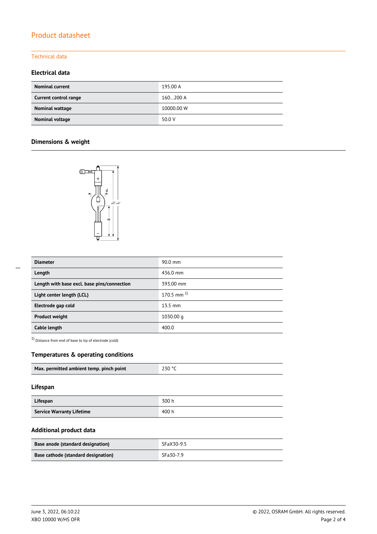# Product datasheet

### Technical data

#### **Electrical data**

| <b>Nominal current</b> | 195.00 A   |
|------------------------|------------|
| Current control range  | 160200 A   |
| Nominal wattage        | 10000.00 W |
| Nominal voltage        | 50.0 V     |

## **Dimensions & weight**



| <b>Diameter</b>                             | 90.0 mm           |
|---------------------------------------------|-------------------|
| Length                                      | 436.0 mm          |
| Length with base excl. base pins/connection | 393.00 mm         |
| Light center length (LCL)                   | $170.5$ mm $^{1}$ |
| Electrode gap cold                          | $13.5 \text{ mm}$ |
| <b>Product weight</b>                       | 1030.00 g         |
| Cable length                                | 400.0             |

1) Distance from end of base to tip of electrode (cold)

#### **Temperatures & operating conditions**

| Max. permitted ambient temp. pinch point | 230 °C |
|------------------------------------------|--------|

#### **Lifespan**

| Lifespan                         | 300 h |
|----------------------------------|-------|
| <b>Service Warranty Lifetime</b> | 400 h |

### **Additional product data**

| Base anode (standard designation)   | SFaX30-9.5 |
|-------------------------------------|------------|
| Base cathode (standard designation) | SFa30-7.9  |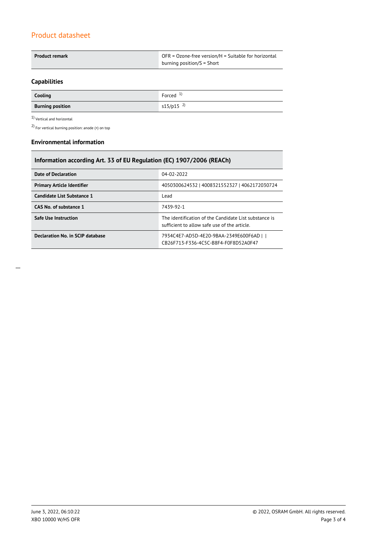# Product datasheet

| Product remark | OFR = Ozone-free version/H = Suitable for horizontal |  |  |
|----------------|------------------------------------------------------|--|--|
|                | burning position/ $S =$ Short                        |  |  |

## **Capabilities**

| Cooling                 | Forced $1$              |
|-------------------------|-------------------------|
| <b>Burning position</b> | $s15/p15$ <sup>2)</sup> |

 $1$ Vertical and horizontal  $\,$ 

2) For vertical burning position: anode (+) on top

#### **Environmental information**

| Information according Art. 33 of EU Regulation (EC) 1907/2006 (REACh) |                                                                                                      |  |  |
|-----------------------------------------------------------------------|------------------------------------------------------------------------------------------------------|--|--|
| Date of Declaration                                                   | 04-02-2022                                                                                           |  |  |
| <b>Primary Article Identifier</b>                                     | 4050300624532   4008321552327   4062172030724                                                        |  |  |
| Candidate List Substance 1                                            | Lead                                                                                                 |  |  |
| CAS No. of substance 1                                                | 7439-92-1                                                                                            |  |  |
| <b>Safe Use Instruction</b>                                           | The identification of the Candidate List substance is<br>sufficient to allow safe use of the article |  |  |
| Declaration No. in SCIP database                                      | 7934C4E7-AD5D-4E20-9BAA-2349E600F6AD    <br>CB26F713-F336-4C5C-B8F4-F0F8D52A0F47                     |  |  |